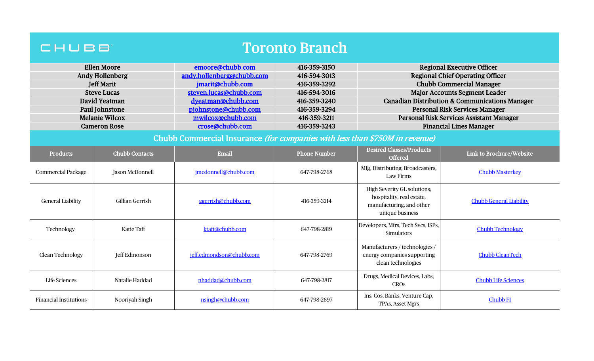| <b>Toronto Branch</b><br>CHUBB                                              |                        |                           |                     |                                                                                                         |                                                           |  |
|-----------------------------------------------------------------------------|------------------------|---------------------------|---------------------|---------------------------------------------------------------------------------------------------------|-----------------------------------------------------------|--|
| <b>Ellen Moore</b>                                                          |                        | emoore@chubb.com          | 416-359-3150        |                                                                                                         | <b>Regional Executive Officer</b>                         |  |
| <b>Andy Hollenberg</b>                                                      |                        | andy.hollenberg@chubb.com | 416-594-3013        |                                                                                                         | <b>Regional Chief Operating Officer</b>                   |  |
| <b>Jeff Marit</b>                                                           |                        | jmarit@chubb.com          | 416-359-3292        |                                                                                                         | <b>Chubb Commercial Manager</b>                           |  |
| <b>Steve Lucas</b>                                                          |                        | steven.lucas@chubb.com    | 416-594-3016        |                                                                                                         | <b>Major Accounts Segment Leader</b>                      |  |
| David Yeatman                                                               |                        | dyeatman@chubb.com        | 416-359-3240        |                                                                                                         | <b>Canadian Distribution &amp; Communications Manager</b> |  |
| Paul Johnstone                                                              |                        | pjohnstone@chubb.com      | 416-359-3294        |                                                                                                         | <b>Personal Risk Services Manager</b>                     |  |
| <b>Melanie Wilcox</b>                                                       |                        | mwilcox@chubb.com         | 416-359-3211        |                                                                                                         | Personal Risk Services Assistant Manager                  |  |
|                                                                             | <b>Cameron Rose</b>    | crose@chubb.com           | 416-359-3243        |                                                                                                         | <b>Financial Lines Manager</b>                            |  |
| Chubb Commercial Insurance (for companies with less than \$750M in revenue) |                        |                           |                     |                                                                                                         |                                                           |  |
| <b>Products</b>                                                             | <b>Chubb Contacts</b>  | Email                     | <b>Phone Number</b> | <b>Desired Classes/Products</b><br><b>Offered</b>                                                       | Link to Brochure/Website                                  |  |
| <b>Commercial Package</b>                                                   | <b>Jason McDonnell</b> | jmcdonnell@chubb.com      | 647-798-2768        | Mfg, Distributing, Broadcasters,<br>Law Firms                                                           | <b>Chubb Masterkey</b>                                    |  |
| <b>General Liability</b>                                                    | <b>Gillian Gerrish</b> | ggerrish@chubb.com        | 416-359-3214        | High Severity GL solutions;<br>hospitality, real estate,<br>manufacturing, and other<br>unique business | <b>Chubb General Liability</b>                            |  |
| Technology                                                                  | <b>Katie Taft</b>      | ktaft@chubb.com           | 647-798-2819        | Developers, Mfrs, Tech Svcs, ISPs,<br><b>Simulators</b>                                                 | <b>Chubb Technology</b>                                   |  |
| Clean Technology                                                            | Jeff Edmonson          | jeff.edmondson@chubb.com  | 647-798-2769        | Manufacturers / technologies /<br>energy companies supporting<br>clean technologies                     | <b>Chubb CleanTech</b>                                    |  |
| <b>Life Sciences</b>                                                        | Natalie Haddad         | nhaddad@chubb.com         | 647-798-2817        | Drugs, Medical Devices, Labs,<br><b>CROs</b>                                                            | <b>Chubb Life Sciences</b>                                |  |
| <b>Financial Institutions</b>                                               | Nooriyah Singh         | nsingh@chubb.com          | 647-798-2697        | Ins. Cos, Banks, Venture Cap,<br><b>TPAs, Asset Mgrs</b>                                                | Chubb <sub>FI</sub>                                       |  |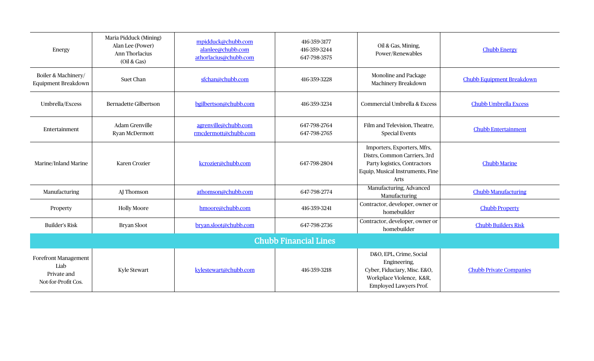| Energy                                                                    | Maria Pidduck (Mining)<br>Alan Lee (Power)<br>Ann Thorlacius<br>(Oil & Gas) | mpidduck@chubb.com<br>alanlee@chubb.com<br>athorlacius@chubb.com | 416-359-3177<br>416-359-3244<br>647-798-3575 | Oil & Gas, Mining,<br>Power/Renewables                                                                                                         | <b>Chubb Energy</b>              |  |
|---------------------------------------------------------------------------|-----------------------------------------------------------------------------|------------------------------------------------------------------|----------------------------------------------|------------------------------------------------------------------------------------------------------------------------------------------------|----------------------------------|--|
| Boiler & Machinery/<br>Equipment Breakdown                                | Suet Chan                                                                   | sfchan@chubb.com                                                 | 416-359-3228                                 | Monoline and Package<br>Machinery Breakdown                                                                                                    | <b>Chubb Equipment Breakdown</b> |  |
| Umbrella/Excess                                                           | <b>Bernadette Gilbertson</b>                                                | bgilbertson@chubb.com                                            | 416-359-3234                                 | Commercial Umbrella & Excess                                                                                                                   | <b>Chubb Umbrella Excess</b>     |  |
| Entertainment                                                             | Adam Grenville<br>Ryan McDermott                                            | agrenville@chubb.com<br>rmcdermott@chubb.com                     | 647-798-2764<br>647-798-2765                 | Film and Television, Theatre,<br><b>Special Events</b>                                                                                         | <b>Chubb Entertainment</b>       |  |
| Marine/Inland Marine                                                      | Karen Crozier                                                               | kcrozier@chubb.com                                               | 647-798-2804                                 | Importers, Exporters, Mfrs,<br>Distrs, Common Carriers, 3rd<br>Party logistics, Contractors<br>Equip, Musical Instruments, Fine<br><b>Arts</b> | <b>Chubb Marine</b>              |  |
| Manufacturing                                                             | AJ Thomson                                                                  | athomson@chubb.com                                               | 647-798-2774                                 | Manufacturing, Advanced<br>Manufacturing                                                                                                       | <b>Chubb Manufacturing</b>       |  |
| Property                                                                  | <b>Holly Moore</b>                                                          | hmoore@chubb.com                                                 | 416-359-3241                                 | Contractor, developer, owner or<br>homebuilder                                                                                                 | <b>Chubb Property</b>            |  |
| <b>Builder's Risk</b>                                                     | <b>Bryan Sloot</b>                                                          | bryan.sloot@chubb.com                                            | 647-798-2736                                 | Contractor, developer, owner or<br>homebuilder                                                                                                 | <b>Chubb Builders Risk</b>       |  |
| <b>Chubb Financial Lines</b>                                              |                                                                             |                                                                  |                                              |                                                                                                                                                |                                  |  |
| <b>Forefront Management</b><br>Liab<br>Private and<br>Not-for-Profit Cos. | <b>Kyle Stewart</b>                                                         | kylestewart@chubb.com                                            | 416-359-3218                                 | D&O, EPL, Crime, Social<br>Engineering,<br>Cyber, Fiduciary, Misc. E&O,<br>Workplace Violence, K&R,<br>Employed Lawyers Prof.                  | <b>Chubb Private Companies</b>   |  |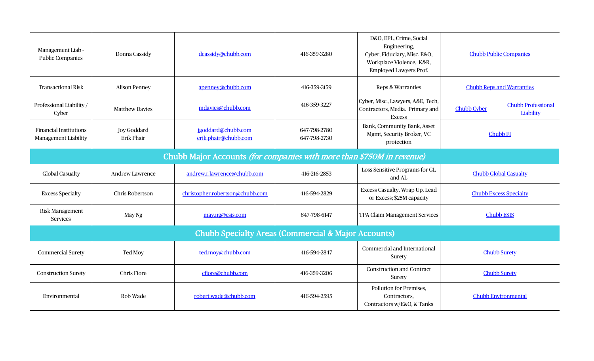| Management Liab -<br><b>Public Companies</b>                          | Donna Cassidy                           | dcassidy@chubb.com                         | 416-359-3280                 | D&O, EPL, Crime, Social<br>Engineering,<br>Cyber, Fiduciary, Misc. E&O,<br>Workplace Violence, K&R,<br>Employed Lawyers Prof. | <b>Chubb Public Companies</b>                                |  |  |
|-----------------------------------------------------------------------|-----------------------------------------|--------------------------------------------|------------------------------|-------------------------------------------------------------------------------------------------------------------------------|--------------------------------------------------------------|--|--|
| <b>Transactional Risk</b>                                             | <b>Alison Penney</b>                    | apenney@chubb.com                          | 416-359-3159                 | Reps & Warranties                                                                                                             | <b>Chubb Reps and Warranties</b>                             |  |  |
| Professional Liability /<br>Cyber                                     | <b>Matthew Davies</b>                   | mdavies@chubb.com                          | 416-359-3227                 | Cyber, Misc., Lawyers, A&E, Tech,<br>Contractors, Media. Primary and<br><b>Excess</b>                                         | <b>Chubb Professional</b><br><b>Chubb Cyber</b><br>Liability |  |  |
| <b>Financial Institutions</b><br>Management Liability                 | <b>Joy Goddard</b><br><b>Erik Phair</b> | jgoddard@chubb.com<br>erik.phair@chubb.com | 647-798-2780<br>647-798-2730 | Bank, Community Bank, Asset<br>Mgmt, Security Broker, VC<br>protection                                                        | <b>Chubb FI</b>                                              |  |  |
| Chubb Major Accounts (for companies with more than \$750M in revenue) |                                         |                                            |                              |                                                                                                                               |                                                              |  |  |
| <b>Global Casualty</b>                                                | Andrew Lawrence                         | andrew.r.lawrence@chubb.com                | 416-216-2853                 | Loss Sensitive Programs for GL<br>and AL                                                                                      | <b>Chubb Global Casualty</b>                                 |  |  |
| <b>Excess Specialty</b>                                               | Chris Robertson                         | christopher.robertson@chubb.com            | 416-594-2829                 | Excess Casualty, Wrap Up, Lead<br>or Excess; \$25M capacity                                                                   | <b>Chubb Excess Specialty</b>                                |  |  |
| Risk Management<br>Services                                           | May Ng                                  | may.ng@esis.com                            | 647-798-6147                 | TPA Claim Management Services                                                                                                 | <b>Chubb ESIS</b>                                            |  |  |
| <b>Chubb Specialty Areas (Commercial &amp; Major Accounts)</b>        |                                         |                                            |                              |                                                                                                                               |                                                              |  |  |
| <b>Commercial Surety</b>                                              | Ted Moy                                 | ted.moy@chubb.com                          | 416-594-2847                 | Commercial and International<br>Surety                                                                                        | <b>Chubb Surety</b>                                          |  |  |
| <b>Construction Surety</b>                                            | <b>Chris Fiore</b>                      | cfiore@chubb.com                           | 416-359-3206                 | <b>Construction and Contract</b><br>Surety                                                                                    | <b>Chubb Surety</b>                                          |  |  |
| Environmental                                                         | Rob Wade                                | robert.wade@chubb.com                      | 416-594-2595                 | Pollution for Premises,<br>Contractors,<br>Contractors w/E&O, & Tanks                                                         | <b>Chubb Environmental</b>                                   |  |  |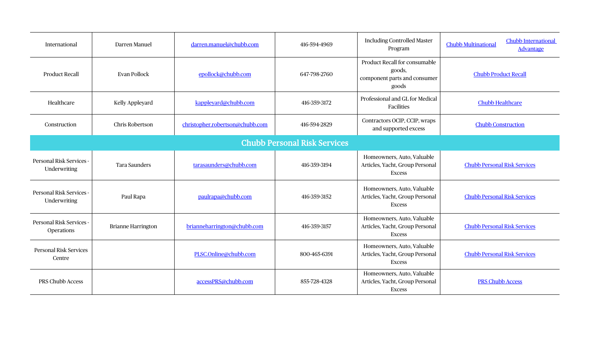| International                            | Darren Manuel             | darren.manuel@chubb.com         | 416-594-4969 | <b>Including Controlled Master</b><br>Program                                    | Chubb International<br><b>Chubb Multinational</b><br><b>Advantage</b> |  |  |
|------------------------------------------|---------------------------|---------------------------------|--------------|----------------------------------------------------------------------------------|-----------------------------------------------------------------------|--|--|
| <b>Product Recall</b>                    | <b>Evan Pollock</b>       | epollock@chubb.com              | 647-798-2760 | Product Recall for consumable<br>goods,<br>component parts and consumer<br>goods | <b>Chubb Product Recall</b>                                           |  |  |
| Healthcare                               | Kelly Appleyard           | kappleyard@chubb.com            | 416-359-3172 | Professional and GL for Medical<br>Facilities                                    | <b>Chubb Healthcare</b>                                               |  |  |
| Construction                             | Chris Robertson           | christopher.robertson@chubb.com | 416-594-2829 | Contractors OCIP, CCIP, wraps<br>and supported excess                            | <b>Chubb Construction</b>                                             |  |  |
| <b>Chubb Personal Risk Services</b>      |                           |                                 |              |                                                                                  |                                                                       |  |  |
| Personal Risk Services -<br>Underwriting | Tara Saunders             | tarasaunders@chubb.com          | 416-359-3194 | Homeowners, Auto, Valuable<br>Articles, Yacht, Group Personal<br><b>Excess</b>   | <b>Chubb Personal Risk Services</b>                                   |  |  |
| Personal Risk Services -<br>Underwriting | Paul Rapa                 | paulrapa@chubb.com              | 416-359-3152 | Homeowners, Auto, Valuable<br>Articles, Yacht, Group Personal<br><b>Excess</b>   | <b>Chubb Personal Risk Services</b>                                   |  |  |
| Personal Risk Services -<br>Operations   | <b>Brianne Harrington</b> | brianneharrington@chubb.com     | 416-359-3157 | Homeowners, Auto, Valuable<br>Articles, Yacht, Group Personal<br><b>Excess</b>   | <b>Chubb Personal Risk Services</b>                                   |  |  |
| Personal Risk Services<br>Centre         |                           | PLSC.Online@chubb.com           | 800-465-6391 | Homeowners, Auto, Valuable<br>Articles, Yacht, Group Personal<br><b>Excess</b>   | <b>Chubb Personal Risk Services</b>                                   |  |  |
| PRS Chubb Access                         |                           | accessPRS@chubb.com             | 855-728-4328 | Homeowners, Auto, Valuable<br>Articles, Yacht, Group Personal<br><b>Excess</b>   | <b>PRS Chubb Access</b>                                               |  |  |